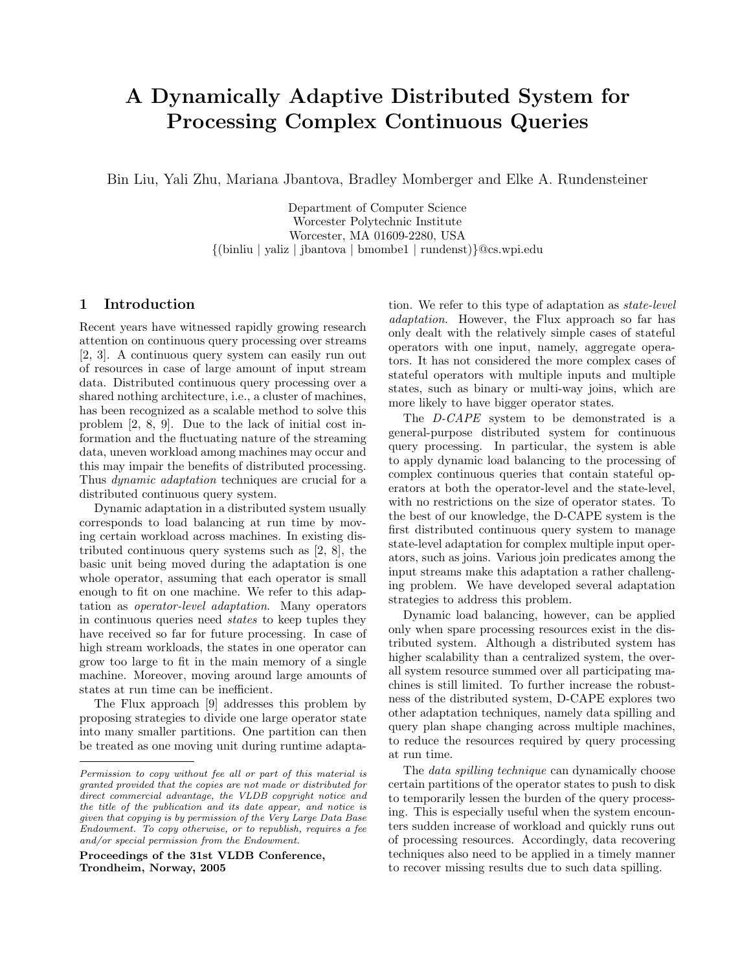# A Dynamically Adaptive Distributed System for Processing Complex Continuous Queries

Bin Liu, Yali Zhu, Mariana Jbantova, Bradley Momberger and Elke A. Rundensteiner

Department of Computer Science Worcester Polytechnic Institute Worcester, MA 01609-2280, USA {(binliu | yaliz | jbantova | bmombe1 | rundenst)}@cs.wpi.edu

### 1 Introduction

Recent years have witnessed rapidly growing research attention on continuous query processing over streams [2, 3]. A continuous query system can easily run out of resources in case of large amount of input stream data. Distributed continuous query processing over a shared nothing architecture, i.e., a cluster of machines, has been recognized as a scalable method to solve this problem [2, 8, 9]. Due to the lack of initial cost information and the fluctuating nature of the streaming data, uneven workload among machines may occur and this may impair the benefits of distributed processing. Thus dynamic adaptation techniques are crucial for a distributed continuous query system.

Dynamic adaptation in a distributed system usually corresponds to load balancing at run time by moving certain workload across machines. In existing distributed continuous query systems such as [2, 8], the basic unit being moved during the adaptation is one whole operator, assuming that each operator is small enough to fit on one machine. We refer to this adaptation as operator-level adaptation. Many operators in continuous queries need states to keep tuples they have received so far for future processing. In case of high stream workloads, the states in one operator can grow too large to fit in the main memory of a single machine. Moreover, moving around large amounts of states at run time can be inefficient.

The Flux approach [9] addresses this problem by proposing strategies to divide one large operator state into many smaller partitions. One partition can then be treated as one moving unit during runtime adapta-

Proceedings of the 31st VLDB Conference, Trondheim, Norway, 2005

tion. We refer to this type of adaptation as state-level adaptation. However, the Flux approach so far has only dealt with the relatively simple cases of stateful operators with one input, namely, aggregate operators. It has not considered the more complex cases of stateful operators with multiple inputs and multiple states, such as binary or multi-way joins, which are more likely to have bigger operator states.

The D-CAPE system to be demonstrated is a general-purpose distributed system for continuous query processing. In particular, the system is able to apply dynamic load balancing to the processing of complex continuous queries that contain stateful operators at both the operator-level and the state-level, with no restrictions on the size of operator states. To the best of our knowledge, the D-CAPE system is the first distributed continuous query system to manage state-level adaptation for complex multiple input operators, such as joins. Various join predicates among the input streams make this adaptation a rather challenging problem. We have developed several adaptation strategies to address this problem.

Dynamic load balancing, however, can be applied only when spare processing resources exist in the distributed system. Although a distributed system has higher scalability than a centralized system, the overall system resource summed over all participating machines is still limited. To further increase the robustness of the distributed system, D-CAPE explores two other adaptation techniques, namely data spilling and query plan shape changing across multiple machines, to reduce the resources required by query processing at run time.

The *data spilling technique* can dynamically choose certain partitions of the operator states to push to disk to temporarily lessen the burden of the query processing. This is especially useful when the system encounters sudden increase of workload and quickly runs out of processing resources. Accordingly, data recovering techniques also need to be applied in a timely manner to recover missing results due to such data spilling.

Permission to copy without fee all or part of this material is granted provided that the copies are not made or distributed for direct commercial advantage, the VLDB copyright notice and the title of the publication and its date appear, and notice is given that copying is by permission of the Very Large Data Base Endowment. To copy otherwise, or to republish, requires a fee and/or special permission from the Endowment.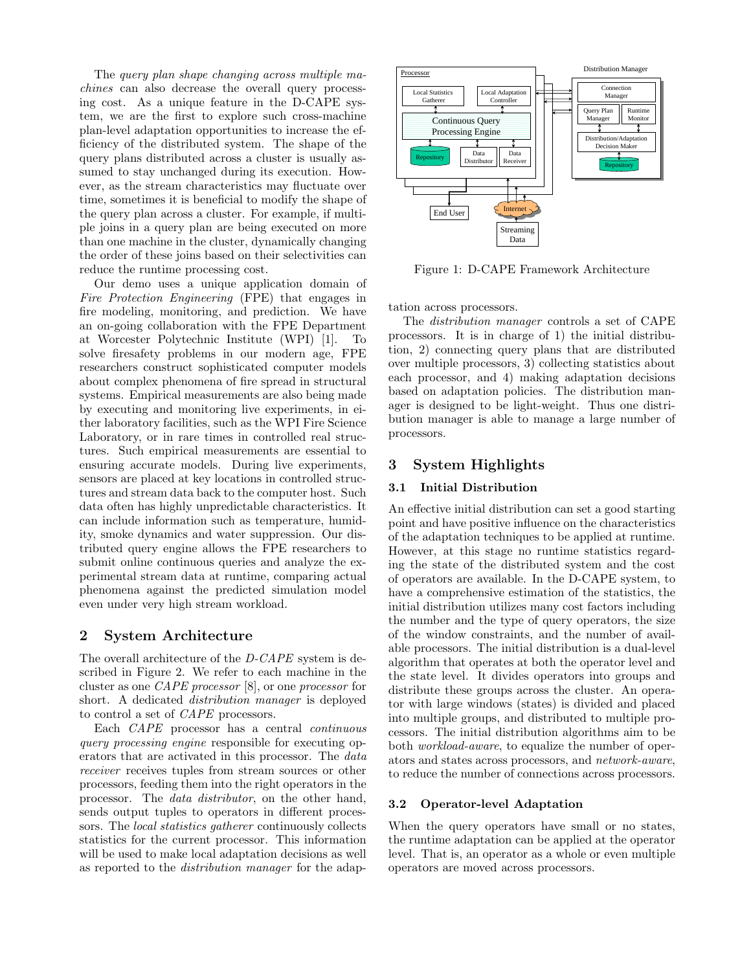The query plan shape changing across multiple machines can also decrease the overall query processing cost. As a unique feature in the D-CAPE system, we are the first to explore such cross-machine plan-level adaptation opportunities to increase the efficiency of the distributed system. The shape of the query plans distributed across a cluster is usually assumed to stay unchanged during its execution. However, as the stream characteristics may fluctuate over time, sometimes it is beneficial to modify the shape of the query plan across a cluster. For example, if multiple joins in a query plan are being executed on more than one machine in the cluster, dynamically changing the order of these joins based on their selectivities can reduce the runtime processing cost.

Our demo uses a unique application domain of Fire Protection Engineering (FPE) that engages in fire modeling, monitoring, and prediction. We have an on-going collaboration with the FPE Department at Worcester Polytechnic Institute (WPI) [1]. To solve firesafety problems in our modern age, FPE researchers construct sophisticated computer models about complex phenomena of fire spread in structural systems. Empirical measurements are also being made by executing and monitoring live experiments, in either laboratory facilities, such as the WPI Fire Science Laboratory, or in rare times in controlled real structures. Such empirical measurements are essential to ensuring accurate models. During live experiments, sensors are placed at key locations in controlled structures and stream data back to the computer host. Such data often has highly unpredictable characteristics. It can include information such as temperature, humidity, smoke dynamics and water suppression. Our distributed query engine allows the FPE researchers to submit online continuous queries and analyze the experimental stream data at runtime, comparing actual phenomena against the predicted simulation model even under very high stream workload.

### 2 System Architecture

The overall architecture of the D-CAPE system is described in Figure 2. We refer to each machine in the cluster as one CAPE processor [8], or one processor for short. A dedicated distribution manager is deployed to control a set of CAPE processors.

Each CAPE processor has a central continuous query processing engine responsible for executing operators that are activated in this processor. The *data* receiver receives tuples from stream sources or other processors, feeding them into the right operators in the processor. The data distributor, on the other hand, sends output tuples to operators in different processors. The *local statistics gatherer* continuously collects statistics for the current processor. This information will be used to make local adaptation decisions as well as reported to the distribution manager for the adap-



Figure 1: D-CAPE Framework Architecture

tation across processors.

The distribution manager controls a set of CAPE processors. It is in charge of 1) the initial distribution, 2) connecting query plans that are distributed over multiple processors, 3) collecting statistics about each processor, and 4) making adaptation decisions based on adaptation policies. The distribution manager is designed to be light-weight. Thus one distribution manager is able to manage a large number of processors.

## 3 System Highlights

#### 3.1 Initial Distribution

An effective initial distribution can set a good starting point and have positive influence on the characteristics of the adaptation techniques to be applied at runtime. However, at this stage no runtime statistics regarding the state of the distributed system and the cost of operators are available. In the D-CAPE system, to have a comprehensive estimation of the statistics, the initial distribution utilizes many cost factors including the number and the type of query operators, the size of the window constraints, and the number of available processors. The initial distribution is a dual-level algorithm that operates at both the operator level and the state level. It divides operators into groups and distribute these groups across the cluster. An operator with large windows (states) is divided and placed into multiple groups, and distributed to multiple processors. The initial distribution algorithms aim to be both workload-aware, to equalize the number of operators and states across processors, and network-aware, to reduce the number of connections across processors.

#### 3.2 Operator-level Adaptation

When the query operators have small or no states, the runtime adaptation can be applied at the operator level. That is, an operator as a whole or even multiple operators are moved across processors.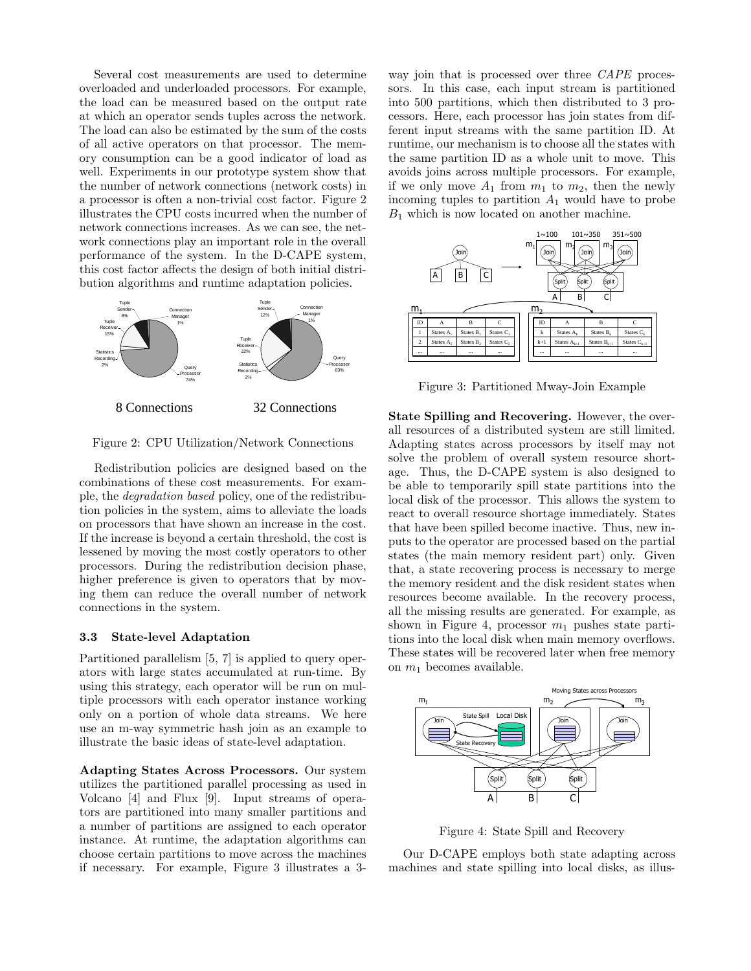Several cost measurements are used to determine overloaded and underloaded processors. For example, the load can be measured based on the output rate at which an operator sends tuples across the network. The load can also be estimated by the sum of the costs of all active operators on that processor. The memory consumption can be a good indicator of load as well. Experiments in our prototype system show that the number of network connections (network costs) in a processor is often a non-trivial cost factor. Figure 2 illustrates the CPU costs incurred when the number of network connections increases. As we can see, the network connections play an important role in the overall performance of the system. In the D-CAPE system, this cost factor affects the design of both initial distribution algorithms and runtime adaptation policies.



Figure 2: CPU Utilization/Network Connections

Redistribution policies are designed based on the combinations of these cost measurements. For example, the degradation based policy, one of the redistribution policies in the system, aims to alleviate the loads on processors that have shown an increase in the cost. If the increase is beyond a certain threshold, the cost is lessened by moving the most costly operators to other processors. During the redistribution decision phase, higher preference is given to operators that by moving them can reduce the overall number of network connections in the system.

#### 3.3 State-level Adaptation

Partitioned parallelism [5, 7] is applied to query operators with large states accumulated at run-time. By using this strategy, each operator will be run on multiple processors with each operator instance working only on a portion of whole data streams. We here use an m-way symmetric hash join as an example to illustrate the basic ideas of state-level adaptation.

Adapting States Across Processors. Our system utilizes the partitioned parallel processing as used in Volcano [4] and Flux [9]. Input streams of operators are partitioned into many smaller partitions and a number of partitions are assigned to each operator instance. At runtime, the adaptation algorithms can choose certain partitions to move across the machines if necessary. For example, Figure 3 illustrates a 3-

way join that is processed over three CAPE processors. In this case, each input stream is partitioned into 500 partitions, which then distributed to 3 processors. Here, each processor has join states from different input streams with the same partition ID. At runtime, our mechanism is to choose all the states with the same partition ID as a whole unit to move. This avoids joins across multiple processors. For example, if we only move  $A_1$  from  $m_1$  to  $m_2$ , then the newly incoming tuples to partition  $A_1$  would have to probe  $B_1$  which is now located on another machine.



Figure 3: Partitioned Mway-Join Example

State Spilling and Recovering. However, the overall resources of a distributed system are still limited. Adapting states across processors by itself may not solve the problem of overall system resource shortage. Thus, the D-CAPE system is also designed to be able to temporarily spill state partitions into the local disk of the processor. This allows the system to react to overall resource shortage immediately. States that have been spilled become inactive. Thus, new inputs to the operator are processed based on the partial states (the main memory resident part) only. Given that, a state recovering process is necessary to merge the memory resident and the disk resident states when resources become available. In the recovery process, all the missing results are generated. For example, as shown in Figure 4, processor  $m_1$  pushes state partitions into the local disk when main memory overflows. These states will be recovered later when free memory on  $m_1$  becomes available.



Figure 4: State Spill and Recovery

Our D-CAPE employs both state adapting across machines and state spilling into local disks, as illus